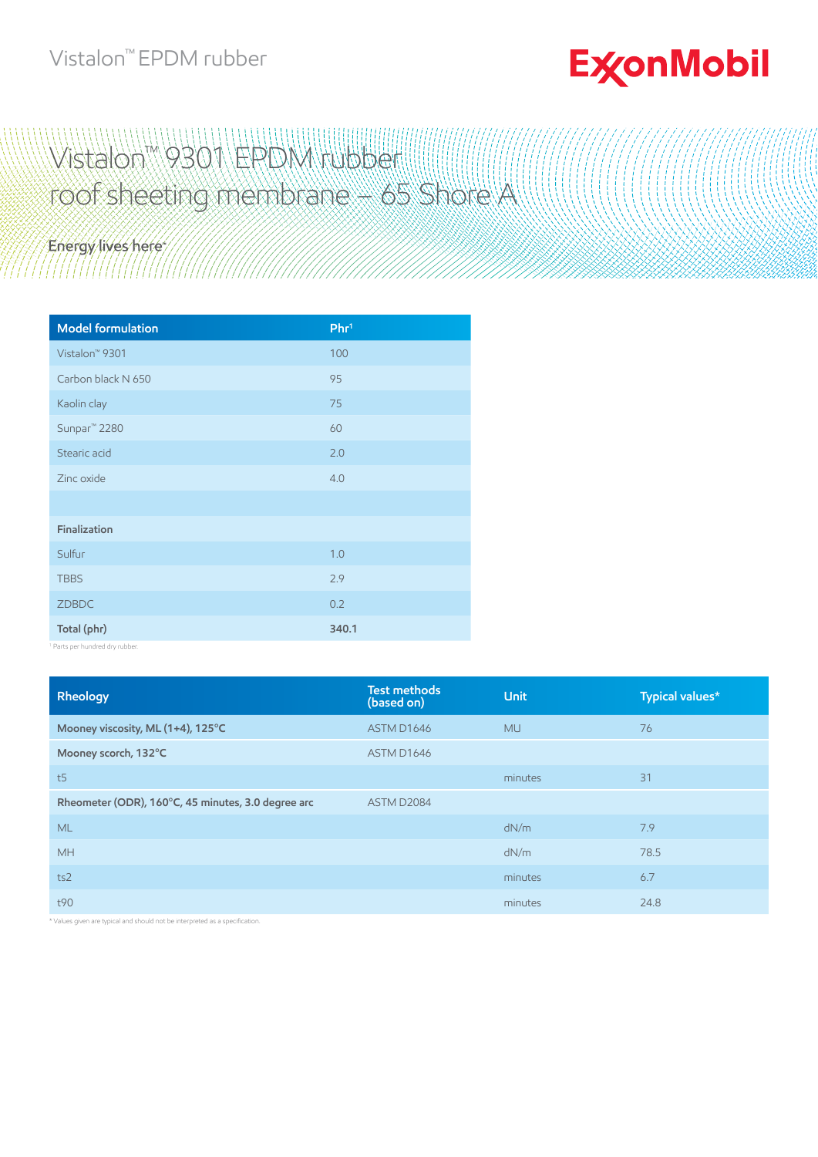### Vistalon™ EPDM rubber

# **ExconMobil**

## Wistalon™ 9301\ERDM rubbell roof sheeting membrane – 65 Shore A

## Energy lives here

| <b>Model formulation</b>   | Phr <sup>1</sup> |
|----------------------------|------------------|
| Vistalon <sup>™</sup> 9301 | 100              |
| Carbon black N 650         | 95               |
| Kaolin clay                | 75               |
| Sunpar <sup>™</sup> 2280   | 60               |
| Stearic acid               | 2.0              |
| Zinc oxide                 | 4.0              |
|                            |                  |
| Finalization               |                  |
| Sulfur                     | 1.0              |
| <b>TBBS</b>                | 2.9              |
| ZDBDC                      | 0.2              |
| Total (phr)                | 340.1            |

1 Parts per hundred dry rubber.

| Rheology                                           | <b>Test methods</b><br>(based on) | <b>Unit</b> | Typical values* |
|----------------------------------------------------|-----------------------------------|-------------|-----------------|
| Mooney viscosity, ML (1+4), 125°C                  | ASTM D1646                        | <b>MU</b>   | 76              |
| Mooney scorch, 132°C                               | ASTM D1646                        |             |                 |
| t <sub>5</sub>                                     |                                   | minutes     | 31              |
| Rheometer (ODR), 160°C, 45 minutes, 3.0 degree arc | ASTM D2084                        |             |                 |
| <b>ML</b>                                          |                                   | dN/m        | 7.9             |
| <b>MH</b>                                          |                                   | dN/m        | 78.5            |
| ts2                                                |                                   | minutes     | 6.7             |
| t90                                                |                                   | minutes     | 24.8            |

Values given are typical and should not be interpreted as a specification